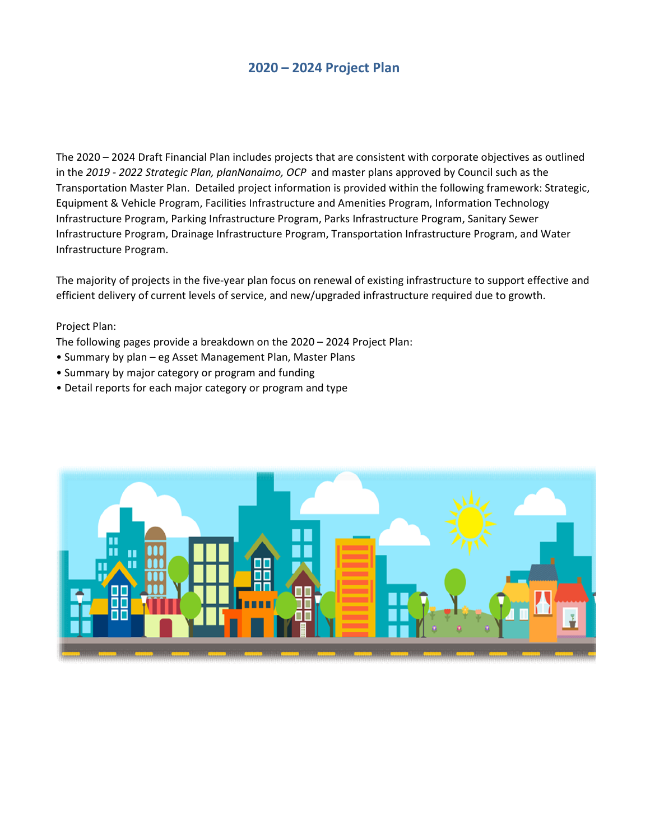# 2020 – 2024 Project Plan

The 2020 – 2024 Draft Financial Plan includes projects that are consistent with corporate objectives as outlined in the 2019 - 2022 Strategic Plan, planNanaimo, OCP and master plans approved by Council such as the Transportation Master Plan. Detailed project information is provided within the following framework: Strategic, Equipment & Vehicle Program, Facilities Infrastructure and Amenities Program, Information Technology Infrastructure Program, Parking Infrastructure Program, Parks Infrastructure Program, Sanitary Sewer Infrastructure Program, Drainage Infrastructure Program, Transportation Infrastructure Program, and Water Infrastructure Program.

The majority of projects in the five-year plan focus on renewal of existing infrastructure to support effective and efficient delivery of current levels of service, and new/upgraded infrastructure required due to growth.

### Project Plan:

The following pages provide a breakdown on the 2020 – 2024 Project Plan:

- Summary by plan eg Asset Management Plan, Master Plans
- Summary by major category or program and funding
- Detail reports for each major category or program and type

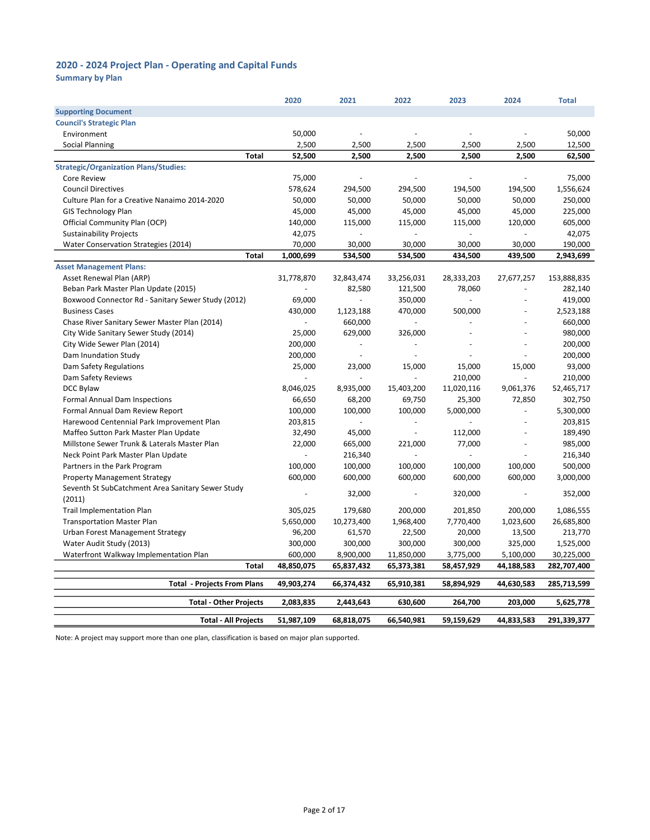Summary by Plan

|                                                    | 2020       | 2021           | 2022                     | 2023                     | 2024                     | <b>Total</b> |
|----------------------------------------------------|------------|----------------|--------------------------|--------------------------|--------------------------|--------------|
| <b>Supporting Document</b>                         |            |                |                          |                          |                          |              |
| <b>Council's Strategic Plan</b>                    |            |                |                          |                          |                          |              |
| Environment                                        | 50,000     |                |                          |                          |                          | 50,000       |
| <b>Social Planning</b>                             | 2,500      | 2,500          | 2,500                    | 2,500                    | 2,500                    | 12,500       |
| <b>Total</b>                                       | 52,500     | 2,500          | 2,500                    | 2,500                    | 2,500                    | 62,500       |
| <b>Strategic/Organization Plans/Studies:</b>       |            |                |                          |                          |                          |              |
| <b>Core Review</b>                                 | 75,000     |                |                          |                          | $\sim$                   | 75,000       |
| <b>Council Directives</b>                          | 578,624    | 294,500        | 294,500                  | 194,500                  | 194,500                  | 1,556,624    |
| Culture Plan for a Creative Nanaimo 2014-2020      | 50,000     | 50,000         | 50,000                   | 50,000                   | 50,000                   | 250,000      |
| <b>GIS Technology Plan</b>                         | 45,000     | 45,000         | 45,000                   | 45,000                   | 45,000                   | 225,000      |
| Official Community Plan (OCP)                      | 140,000    | 115,000        | 115,000                  | 115,000                  | 120,000                  | 605,000      |
| <b>Sustainability Projects</b>                     | 42,075     | ä,             | L.                       |                          | $\bar{a}$                | 42,075       |
| <b>Water Conservation Strategies (2014)</b>        | 70,000     | 30,000         | 30,000                   | 30,000                   | 30,000                   | 190,000      |
| <b>Total</b>                                       | 1,000,699  | 534,500        | 534,500                  | 434,500                  | 439,500                  | 2,943,699    |
| <b>Asset Management Plans:</b>                     |            |                |                          |                          |                          |              |
| Asset Renewal Plan (ARP)                           | 31,778,870 | 32,843,474     | 33,256,031               | 28,333,203               | 27,677,257               | 153,888,835  |
| Beban Park Master Plan Update (2015)               |            | 82,580         | 121,500                  | 78,060                   | $\sim$                   | 282,140      |
| Boxwood Connector Rd - Sanitary Sewer Study (2012) | 69,000     | $\overline{a}$ | 350,000                  | $\overline{a}$           | $\overline{a}$           | 419,000      |
| <b>Business Cases</b>                              | 430,000    | 1,123,188      | 470,000                  | 500,000                  |                          | 2,523,188    |
| Chase River Sanitary Sewer Master Plan (2014)      | $\sim$     | 660,000        | $\overline{a}$           |                          | L,                       | 660,000      |
| City Wide Sanitary Sewer Study (2014)              | 25,000     | 629,000        | 326,000                  |                          |                          | 980,000      |
| City Wide Sewer Plan (2014)                        | 200,000    | ÷,             | $\frac{1}{2}$            |                          | ÷,                       | 200,000      |
| Dam Inundation Study                               | 200,000    |                |                          |                          |                          | 200,000      |
| Dam Safety Regulations                             | 25,000     | 23,000         | 15,000                   | 15,000                   | 15,000                   | 93,000       |
| Dam Safety Reviews                                 |            | $\overline{a}$ | ÷,                       | 210,000                  | $\overline{a}$           | 210,000      |
| DCC Bylaw                                          | 8,046,025  | 8,935,000      | 15,403,200               | 11,020,116               | 9,061,376                | 52,465,717   |
| Formal Annual Dam Inspections                      | 66,650     | 68,200         | 69,750                   | 25,300                   | 72,850                   | 302,750      |
| Formal Annual Dam Review Report                    | 100,000    | 100,000        | 100,000                  | 5,000,000                | $\overline{\phantom{a}}$ | 5,300,000    |
| Harewood Centennial Park Improvement Plan          | 203,815    | ÷.             | $\frac{1}{2}$            | $\overline{\phantom{a}}$ | $\sim$                   | 203,815      |
| Maffeo Sutton Park Master Plan Update              | 32,490     | 45,000         | $\overline{\phantom{a}}$ | 112,000                  | $\sim$                   | 189,490      |
| Millstone Sewer Trunk & Laterals Master Plan       | 22,000     | 665,000        | 221,000                  | 77,000                   |                          | 985,000      |
| Neck Point Park Master Plan Update                 | $\omega$   | 216,340        | $\omega$                 |                          |                          | 216,340      |
| Partners in the Park Program                       | 100,000    | 100,000        | 100,000                  | 100,000                  | 100,000                  | 500,000      |
| <b>Property Management Strategy</b>                | 600,000    | 600,000        | 600,000                  | 600,000                  | 600,000                  | 3,000,000    |
| Seventh St SubCatchment Area Sanitary Sewer Study  |            |                |                          |                          |                          |              |
| (2011)                                             |            | 32,000         |                          | 320,000                  | $\sim$                   | 352,000      |
| <b>Trail Implementation Plan</b>                   | 305,025    | 179,680        | 200,000                  | 201,850                  | 200,000                  | 1,086,555    |
| <b>Transportation Master Plan</b>                  | 5,650,000  | 10,273,400     | 1,968,400                | 7,770,400                | 1,023,600                | 26,685,800   |
| Urban Forest Management Strategy                   | 96,200     | 61,570         | 22,500                   | 20,000                   | 13,500                   | 213,770      |
| Water Audit Study (2013)                           | 300,000    | 300,000        | 300,000                  | 300,000                  | 325,000                  | 1,525,000    |
| Waterfront Walkway Implementation Plan             | 600,000    | 8,900,000      | 11,850,000               | 3,775,000                | 5,100,000                | 30,225,000   |
| <b>Total</b>                                       | 48,850,075 | 65,837,432     | 65,373,381               | 58,457,929               | 44,188,583               | 282,707,400  |
| <b>Total - Projects From Plans</b>                 | 49,903,274 | 66,374,432     | 65,910,381               | 58,894,929               | 44,630,583               | 285,713,599  |
| <b>Total - Other Projects</b>                      | 2,083,835  | 2,443,643      | 630,600                  | 264,700                  | 203,000                  | 5,625,778    |
|                                                    |            |                |                          |                          |                          |              |
| <b>Total - All Projects</b>                        | 51,987,109 | 68,818,075     | 66,540,981               | 59,159,629               | 44,833,583               | 291,339,377  |

Note: A project may support more than one plan, classification is based on major plan supported.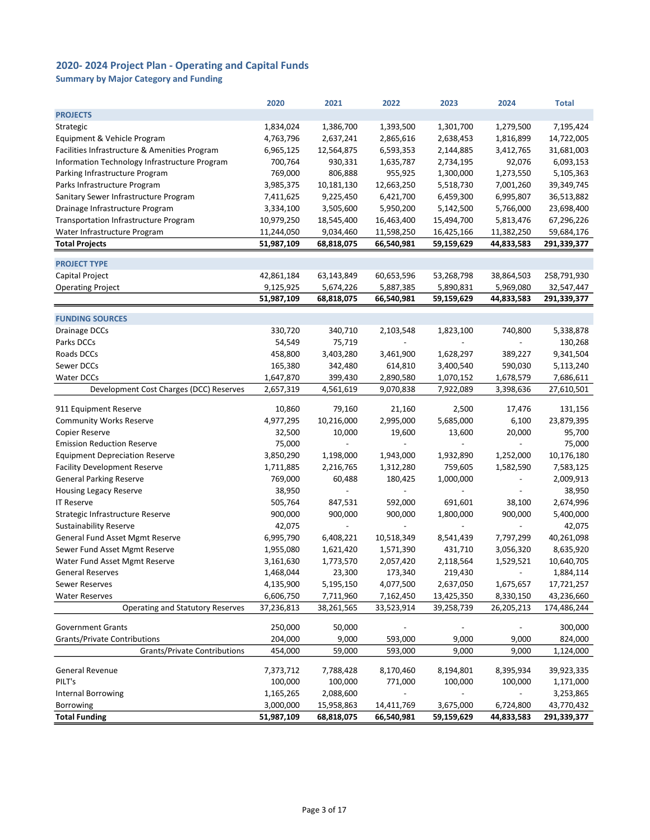Summary by Major Category and Funding

|                                               | 2020                 | 2021                     | 2022                        | 2023                                | 2024                     | <b>Total</b> |
|-----------------------------------------------|----------------------|--------------------------|-----------------------------|-------------------------------------|--------------------------|--------------|
| <b>PROJECTS</b>                               |                      |                          |                             |                                     |                          |              |
| Strategic                                     | 1,834,024            | 1,386,700                | 1,393,500                   | 1,301,700                           | 1,279,500                | 7,195,424    |
| Equipment & Vehicle Program                   | 4,763,796            | 2,637,241                | 2,865,616                   | 2,638,453                           | 1,816,899                | 14,722,005   |
| Facilities Infrastructure & Amenities Program | 6,965,125            | 12,564,875               | 6,593,353                   | 2,144,885                           | 3,412,765                | 31,681,003   |
| Information Technology Infrastructure Program | 700,764              | 930,331                  | 1,635,787                   | 2,734,195                           | 92,076                   | 6,093,153    |
| Parking Infrastructure Program                | 769,000              | 806,888                  | 955,925                     | 1,300,000                           | 1,273,550                | 5,105,363    |
| Parks Infrastructure Program                  | 3,985,375            | 10,181,130               | 12,663,250                  | 5,518,730                           | 7,001,260                | 39,349,745   |
| Sanitary Sewer Infrastructure Program         | 7,411,625            | 9,225,450                | 6,421,700                   | 6,459,300                           | 6,995,807                | 36,513,882   |
| Drainage Infrastructure Program               | 3,334,100            | 3,505,600                | 5,950,200                   | 5,142,500                           | 5,766,000                | 23,698,400   |
| Transportation Infrastructure Program         | 10,979,250           | 18,545,400               | 16,463,400                  | 15,494,700                          | 5,813,476                | 67,296,226   |
| Water Infrastructure Program                  | 11,244,050           | 9,034,460                | 11,598,250                  | 16,425,166                          | 11,382,250               | 59,684,176   |
| <b>Total Projects</b>                         | 51,987,109           | 68,818,075               | 66,540,981                  | 59,159,629                          | 44,833,583               | 291,339,377  |
|                                               |                      |                          |                             |                                     |                          |              |
| <b>PROJECT TYPE</b>                           |                      |                          |                             |                                     |                          |              |
| Capital Project                               | 42,861,184           | 63,143,849               | 60,653,596                  | 53,268,798                          | 38,864,503               | 258,791,930  |
| <b>Operating Project</b>                      | 9,125,925            | 5,674,226                | 5,887,385                   | 5,890,831                           | 5,969,080                | 32,547,447   |
|                                               | 51,987,109           | 68,818,075               | 66,540,981                  | 59,159,629                          | 44,833,583               | 291,339,377  |
|                                               |                      |                          |                             |                                     |                          |              |
| <b>FUNDING SOURCES</b>                        |                      |                          |                             |                                     |                          |              |
| Drainage DCCs                                 | 330,720              | 340,710                  | 2,103,548                   | 1,823,100                           | 740,800                  | 5,338,878    |
| Parks DCCs                                    | 54,549               | 75,719                   |                             |                                     | $\overline{a}$           | 130,268      |
| Roads DCCs                                    | 458,800              | 3,403,280                | 3,461,900                   | 1,628,297                           | 389,227                  | 9,341,504    |
| Sewer DCCs                                    | 165,380              | 342,480                  | 614,810                     | 3,400,540                           | 590,030                  | 5,113,240    |
| Water DCCs                                    | 1,647,870            | 399,430                  | 2,890,580                   | 1,070,152                           | 1,678,579                | 7,686,611    |
| Development Cost Charges (DCC) Reserves       | 2,657,319            | 4,561,619                | 9,070,838                   | 7,922,089                           | 3,398,636                | 27,610,501   |
|                                               |                      |                          |                             |                                     |                          |              |
| 911 Equipment Reserve                         | 10,860               | 79,160                   | 21,160                      | 2,500                               | 17,476                   | 131,156      |
| <b>Community Works Reserve</b>                | 4,977,295            | 10,216,000               | 2,995,000                   | 5,685,000                           | 6,100                    | 23,879,395   |
| Copier Reserve                                | 32,500               | 10,000                   | 19,600                      | 13,600                              | 20,000                   | 95,700       |
| <b>Emission Reduction Reserve</b>             | 75,000               | $\overline{a}$           |                             | $\overline{a}$                      |                          | 75,000       |
| <b>Equipment Depreciation Reserve</b>         | 3,850,290            | 1,198,000                | 1,943,000                   | 1,932,890                           | 1,252,000                | 10,176,180   |
| <b>Facility Development Reserve</b>           | 1,711,885            | 2,216,765                | 1,312,280                   | 759,605                             | 1,582,590                | 7,583,125    |
| <b>General Parking Reserve</b>                | 769,000              | 60,488                   | 180,425                     | 1,000,000                           | $\overline{\phantom{a}}$ | 2,009,913    |
| <b>Housing Legacy Reserve</b>                 | 38,950               | $\overline{\phantom{a}}$ | $\overline{\phantom{a}}$    |                                     |                          | 38,950       |
| <b>IT Reserve</b>                             | 505,764              | 847,531                  | 592,000                     | 691,601                             | 38,100                   | 2,674,996    |
| Strategic Infrastructure Reserve              | 900,000              | 900,000                  | 900,000                     | 1,800,000                           | 900,000                  | 5,400,000    |
| <b>Sustainability Reserve</b>                 | 42,075               |                          |                             |                                     |                          | 42,075       |
| General Fund Asset Mgmt Reserve               | 6,995,790            | 6,408,221                | 10,518,349                  | 8,541,439                           | 7,797,299                | 40,261,098   |
| Sewer Fund Asset Mgmt Reserve                 | 1,955,080            | 1,621,420                | 1,571,390                   | 431,710                             | 3,056,320                | 8,635,920    |
| Water Fund Asset Mgmt Reserve                 | 3,161,630            | 1,773,570                | 2,057,420                   | 2,118,564                           | 1,529,521                | 10,640,705   |
| General Reserves                              | 1,468,044            | 23,300                   | 173,340                     | 219,430                             |                          | 1,884,114    |
| Sewer Reserves                                | 4,135,900            | 5,195,150                | 4,077,500                   | 2,637,050                           | 1,675,657                | 17,721,257   |
| <b>Water Reserves</b>                         | 6,606,750            | 7,711,960                | 7,162,450                   | 13,425,350                          | 8,330,150                | 43,236,660   |
| Operating and Statutory Reserves              | 37,236,813           | 38,261,565               | 33,523,914                  | 39,258,739                          | 26,205,213               | 174,486,244  |
|                                               |                      |                          |                             |                                     |                          |              |
| <b>Government Grants</b>                      | 250,000              | 50,000                   |                             |                                     |                          | 300,000      |
| <b>Grants/Private Contributions</b>           | 204,000              | 9,000                    | 593,000                     | 9,000                               | 9,000                    | 824,000      |
| <b>Grants/Private Contributions</b>           | 454,000              | 59,000                   | 593,000                     | 9,000                               | 9,000                    | 1,124,000    |
| General Revenue                               |                      | 7,788,428                | 8,170,460                   | 8,194,801                           | 8,395,934                | 39,923,335   |
| PILT's                                        | 7,373,712            |                          | 771,000                     |                                     |                          |              |
|                                               | 100,000<br>1,165,265 | 100,000                  | $\mathcal{L}_{\mathcal{A}}$ | 100,000<br>$\overline{\phantom{a}}$ | 100,000<br>$\sim$        | 1,171,000    |
| <b>Internal Borrowing</b>                     |                      | 2,088,600                |                             |                                     |                          | 3,253,865    |
| Borrowing                                     | 3,000,000            | 15,958,863               | 14,411,769                  | 3,675,000                           | 6,724,800                | 43,770,432   |
| <b>Total Funding</b>                          | 51,987,109           | 68,818,075               | 66,540,981                  | 59,159,629                          | 44,833,583               | 291,339,377  |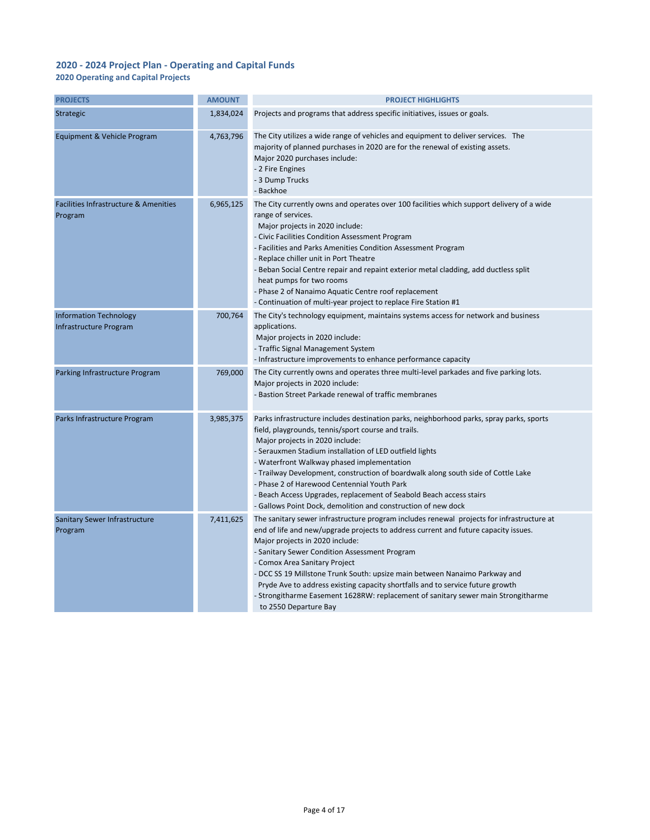#### 2020 Operating and Capital Projects

| <b>PROJECTS</b>                                             | <b>AMOUNT</b> | <b>PROJECT HIGHLIGHTS</b>                                                                                                                                                                                                                                                                                                                                                                                                                                                                                                                                                           |
|-------------------------------------------------------------|---------------|-------------------------------------------------------------------------------------------------------------------------------------------------------------------------------------------------------------------------------------------------------------------------------------------------------------------------------------------------------------------------------------------------------------------------------------------------------------------------------------------------------------------------------------------------------------------------------------|
| Strategic                                                   | 1,834,024     | Projects and programs that address specific initiatives, issues or goals.                                                                                                                                                                                                                                                                                                                                                                                                                                                                                                           |
| Equipment & Vehicle Program                                 | 4,763,796     | The City utilizes a wide range of vehicles and equipment to deliver services. The<br>majority of planned purchases in 2020 are for the renewal of existing assets.<br>Major 2020 purchases include:<br>- 2 Fire Engines<br>- 3 Dump Trucks<br>- Backhoe                                                                                                                                                                                                                                                                                                                             |
| <b>Facilities Infrastructure &amp; Amenities</b><br>Program | 6,965,125     | The City currently owns and operates over 100 facilities which support delivery of a wide<br>range of services.<br>Major projects in 2020 include:<br>- Civic Facilities Condition Assessment Program<br>- Facilities and Parks Amenities Condition Assessment Program<br>- Replace chiller unit in Port Theatre<br>- Beban Social Centre repair and repaint exterior metal cladding, add ductless split<br>heat pumps for two rooms<br>- Phase 2 of Nanaimo Aquatic Centre roof replacement<br>- Continuation of multi-year project to replace Fire Station #1                     |
| <b>Information Technology</b><br>Infrastructure Program     | 700,764       | The City's technology equipment, maintains systems access for network and business<br>applications.<br>Major projects in 2020 include:<br>- Traffic Signal Management System<br>- Infrastructure improvements to enhance performance capacity                                                                                                                                                                                                                                                                                                                                       |
| Parking Infrastructure Program                              | 769,000       | The City currently owns and operates three multi-level parkades and five parking lots.<br>Major projects in 2020 include:<br>- Bastion Street Parkade renewal of traffic membranes                                                                                                                                                                                                                                                                                                                                                                                                  |
| Parks Infrastructure Program                                | 3,985,375     | Parks infrastructure includes destination parks, neighborhood parks, spray parks, sports<br>field, playgrounds, tennis/sport course and trails.<br>Major projects in 2020 include:<br>- Serauxmen Stadium installation of LED outfield lights<br>- Waterfront Walkway phased implementation<br>- Trailway Development, construction of boardwalk along south side of Cottle Lake<br>- Phase 2 of Harewood Centennial Youth Park<br>- Beach Access Upgrades, replacement of Seabold Beach access stairs<br>- Gallows Point Dock, demolition and construction of new dock             |
| Sanitary Sewer Infrastructure<br>Program                    | 7,411,625     | The sanitary sewer infrastructure program includes renewal projects for infrastructure at<br>end of life and new/upgrade projects to address current and future capacity issues.<br>Major projects in 2020 include:<br>- Sanitary Sewer Condition Assessment Program<br>- Comox Area Sanitary Project<br>- DCC SS 19 Millstone Trunk South: upsize main between Nanaimo Parkway and<br>Pryde Ave to address existing capacity shortfalls and to service future growth<br>- Strongitharme Easement 1628RW: replacement of sanitary sewer main Strongitharme<br>to 2550 Departure Bay |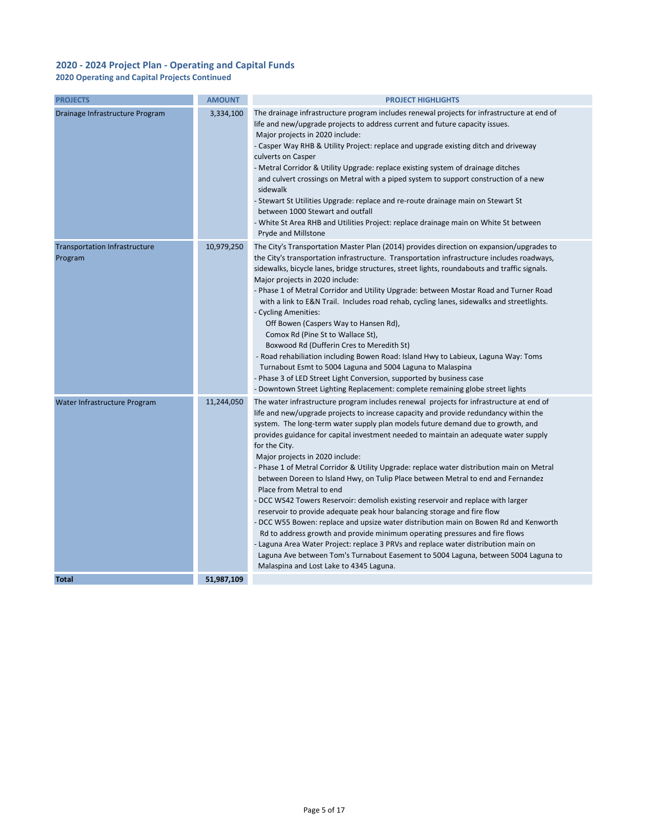2020 Operating and Capital Projects Continued

| <b>PROJECTS</b>                                 | <b>AMOUNT</b> | <b>PROJECT HIGHLIGHTS</b>                                                                                                                                                                                                                                                                                                                                                                                                                                                                                                                                                                                                                                                                                                                                                                                                                                                                                                                                                                                                                                                                                                                                                                |
|-------------------------------------------------|---------------|------------------------------------------------------------------------------------------------------------------------------------------------------------------------------------------------------------------------------------------------------------------------------------------------------------------------------------------------------------------------------------------------------------------------------------------------------------------------------------------------------------------------------------------------------------------------------------------------------------------------------------------------------------------------------------------------------------------------------------------------------------------------------------------------------------------------------------------------------------------------------------------------------------------------------------------------------------------------------------------------------------------------------------------------------------------------------------------------------------------------------------------------------------------------------------------|
| Drainage Infrastructure Program                 | 3,334,100     | The drainage infrastructure program includes renewal projects for infrastructure at end of<br>life and new/upgrade projects to address current and future capacity issues.<br>Major projects in 2020 include:<br>- Casper Way RHB & Utility Project: replace and upgrade existing ditch and driveway<br>culverts on Casper<br>- Metral Corridor & Utility Upgrade: replace existing system of drainage ditches<br>and culvert crossings on Metral with a piped system to support construction of a new<br>sidewalk<br>- Stewart St Utilities Upgrade: replace and re-route drainage main on Stewart St<br>between 1000 Stewart and outfall<br>- White St Area RHB and Utilities Project: replace drainage main on White St between<br>Pryde and Millstone                                                                                                                                                                                                                                                                                                                                                                                                                                |
| <b>Transportation Infrastructure</b><br>Program | 10,979,250    | The City's Transportation Master Plan (2014) provides direction on expansion/upgrades to<br>the City's transportation infrastructure. Transportation infrastructure includes roadways,<br>sidewalks, bicycle lanes, bridge structures, street lights, roundabouts and traffic signals.<br>Major projects in 2020 include:<br>- Phase 1 of Metral Corridor and Utility Upgrade: between Mostar Road and Turner Road<br>with a link to E&N Trail. Includes road rehab, cycling lanes, sidewalks and streetlights.<br>- Cycling Amenities:<br>Off Bowen (Caspers Way to Hansen Rd),<br>Comox Rd (Pine St to Wallace St),<br>Boxwood Rd (Dufferin Cres to Meredith St)<br>- Road rehabiliation including Bowen Road: Island Hwy to Labieux, Laguna Way: Toms<br>Turnabout Esmt to 5004 Laguna and 5004 Laguna to Malaspina<br>- Phase 3 of LED Street Light Conversion, supported by business case<br>- Downtown Street Lighting Replacement: complete remaining globe street lights                                                                                                                                                                                                         |
| Water Infrastructure Program                    | 11,244,050    | The water infrastructure program includes renewal projects for infrastructure at end of<br>life and new/upgrade projects to increase capacity and provide redundancy within the<br>system. The long-term water supply plan models future demand due to growth, and<br>provides guidance for capital investment needed to maintain an adequate water supply<br>for the City.<br>Major projects in 2020 include:<br>- Phase 1 of Metral Corridor & Utility Upgrade: replace water distribution main on Metral<br>between Doreen to Island Hwy, on Tulip Place between Metral to end and Fernandez<br>Place from Metral to end<br>- DCC WS42 Towers Reservoir: demolish existing reservoir and replace with larger<br>reservoir to provide adequate peak hour balancing storage and fire flow<br>- DCC W55 Bowen: replace and upsize water distribution main on Bowen Rd and Kenworth<br>Rd to address growth and provide minimum operating pressures and fire flows<br>- Laguna Area Water Project: replace 3 PRVs and replace water distribution main on<br>Laguna Ave between Tom's Turnabout Easement to 5004 Laguna, between 5004 Laguna to<br>Malaspina and Lost Lake to 4345 Laguna. |
| <b>Total</b>                                    | 51,987,109    |                                                                                                                                                                                                                                                                                                                                                                                                                                                                                                                                                                                                                                                                                                                                                                                                                                                                                                                                                                                                                                                                                                                                                                                          |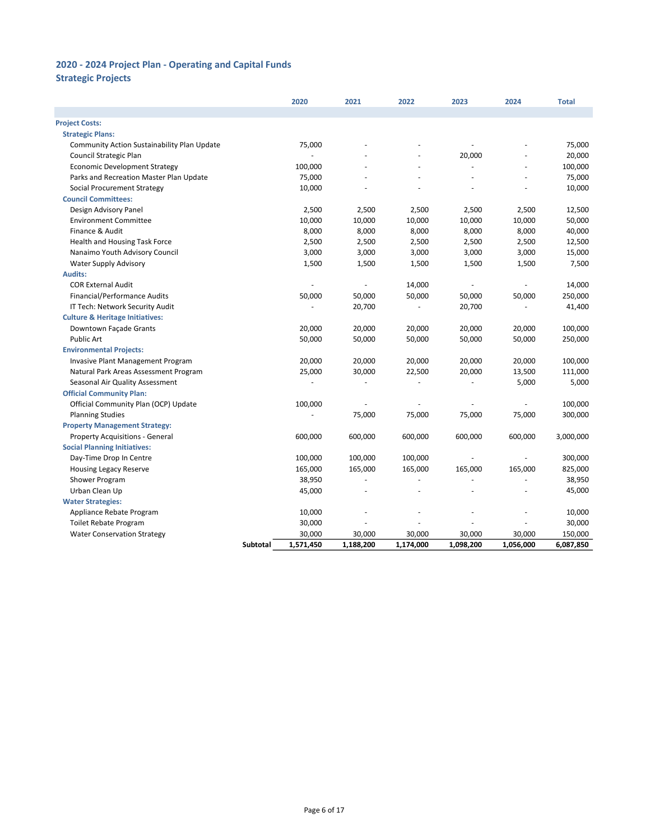# Strategic Projects

|                                             |          | 2020      | 2021      | 2022      | 2023      | 2024      | <b>Total</b> |
|---------------------------------------------|----------|-----------|-----------|-----------|-----------|-----------|--------------|
|                                             |          |           |           |           |           |           |              |
| <b>Project Costs:</b>                       |          |           |           |           |           |           |              |
| <b>Strategic Plans:</b>                     |          |           |           |           |           |           |              |
| Community Action Sustainability Plan Update |          | 75,000    |           |           |           |           | 75,000       |
| Council Strategic Plan                      |          |           |           |           | 20,000    |           | 20,000       |
| <b>Economic Development Strategy</b>        |          | 100,000   |           |           |           |           | 100,000      |
| Parks and Recreation Master Plan Update     |          | 75,000    |           |           |           |           | 75,000       |
| Social Procurement Strategy                 |          | 10,000    |           | ä,        |           |           | 10,000       |
| <b>Council Committees:</b>                  |          |           |           |           |           |           |              |
| Design Advisory Panel                       |          | 2,500     | 2,500     | 2,500     | 2,500     | 2,500     | 12,500       |
| <b>Environment Committee</b>                |          | 10,000    | 10,000    | 10,000    | 10,000    | 10,000    | 50,000       |
| Finance & Audit                             |          | 8,000     | 8,000     | 8,000     | 8,000     | 8,000     | 40,000       |
| Health and Housing Task Force               |          | 2,500     | 2,500     | 2,500     | 2,500     | 2,500     | 12,500       |
| Nanaimo Youth Advisory Council              |          | 3,000     | 3,000     | 3,000     | 3,000     | 3,000     | 15,000       |
| <b>Water Supply Advisory</b>                |          | 1,500     | 1,500     | 1,500     | 1,500     | 1,500     | 7,500        |
| <b>Audits:</b>                              |          |           |           |           |           |           |              |
| <b>COR External Audit</b>                   |          |           | ÷,        | 14,000    |           |           | 14,000       |
| Financial/Performance Audits                |          | 50,000    | 50,000    | 50,000    | 50,000    | 50,000    | 250,000      |
| IT Tech: Network Security Audit             |          |           | 20,700    | ÷.        | 20,700    |           | 41,400       |
| <b>Culture &amp; Heritage Initiatives:</b>  |          |           |           |           |           |           |              |
| Downtown Façade Grants                      |          | 20,000    | 20,000    | 20,000    | 20,000    | 20,000    | 100,000      |
| Public Art                                  |          | 50,000    | 50,000    | 50,000    | 50,000    | 50,000    | 250,000      |
| <b>Environmental Projects:</b>              |          |           |           |           |           |           |              |
| <b>Invasive Plant Management Program</b>    |          | 20,000    | 20,000    | 20,000    | 20,000    | 20,000    | 100,000      |
| Natural Park Areas Assessment Program       |          | 25,000    | 30,000    | 22,500    | 20,000    | 13,500    | 111,000      |
| Seasonal Air Quality Assessment             |          |           | ä,        | $\bar{a}$ |           | 5,000     | 5,000        |
| <b>Official Community Plan:</b>             |          |           |           |           |           |           |              |
| Official Community Plan (OCP) Update        |          | 100,000   | ÷,        |           |           | ÷,        | 100,000      |
| <b>Planning Studies</b>                     |          |           | 75,000    | 75,000    | 75,000    | 75,000    | 300,000      |
| <b>Property Management Strategy:</b>        |          |           |           |           |           |           |              |
| <b>Property Acquisitions - General</b>      |          | 600,000   | 600,000   | 600,000   | 600,000   | 600,000   | 3,000,000    |
| <b>Social Planning Initiatives:</b>         |          |           |           |           |           |           |              |
| Day-Time Drop In Centre                     |          | 100,000   | 100,000   | 100,000   |           |           | 300,000      |
| <b>Housing Legacy Reserve</b>               |          | 165,000   | 165,000   | 165,000   | 165,000   | 165,000   | 825,000      |
| Shower Program                              |          | 38,950    | ä,        |           |           |           | 38,950       |
| Urban Clean Up                              |          | 45,000    |           |           |           |           | 45,000       |
| <b>Water Strategies:</b>                    |          |           |           |           |           |           |              |
| Appliance Rebate Program                    |          | 10,000    | ÷,        |           |           |           | 10,000       |
| <b>Toilet Rebate Program</b>                |          | 30,000    |           |           |           |           | 30,000       |
| <b>Water Conservation Strategy</b>          |          | 30,000    | 30,000    | 30,000    | 30,000    | 30,000    | 150,000      |
|                                             | Subtotal | 1,571,450 | 1,188,200 | 1,174,000 | 1,098,200 | 1,056,000 | 6,087,850    |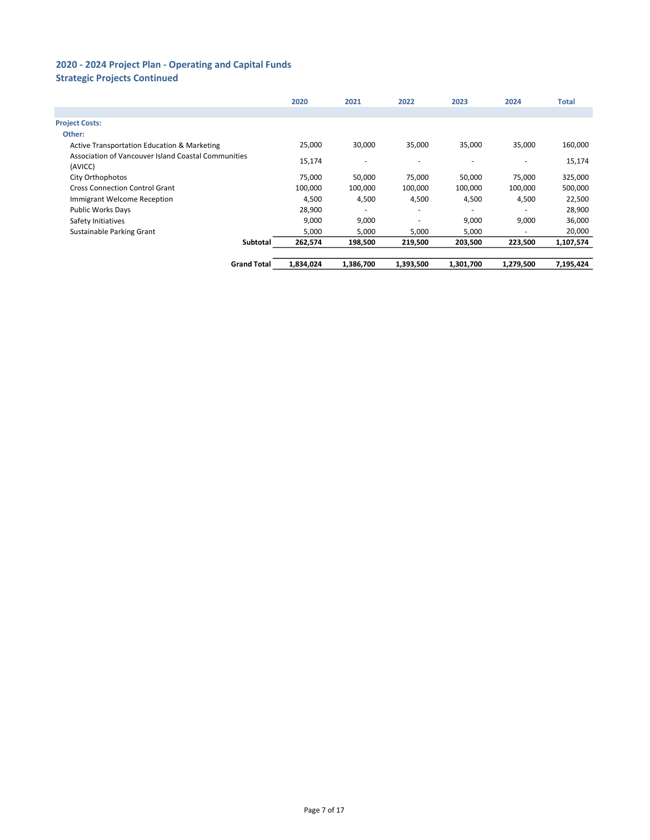# Strategic Projects Continued

|                                                                | 2020      | 2021      | 2022      | 2023                     | 2024      | <b>Total</b> |
|----------------------------------------------------------------|-----------|-----------|-----------|--------------------------|-----------|--------------|
|                                                                |           |           |           |                          |           |              |
| <b>Project Costs:</b>                                          |           |           |           |                          |           |              |
| Other:                                                         |           |           |           |                          |           |              |
| Active Transportation Education & Marketing                    | 25,000    | 30,000    | 35,000    | 35,000                   | 35,000    | 160,000      |
| Association of Vancouver Island Coastal Communities<br>(AVICC) | 15,174    |           | ٠         | $\overline{\phantom{a}}$ |           | 15,174       |
| City Orthophotos                                               | 75,000    | 50,000    | 75,000    | 50,000                   | 75,000    | 325,000      |
| <b>Cross Connection Control Grant</b>                          | 100,000   | 100,000   | 100,000   | 100,000                  | 100,000   | 500,000      |
| Immigrant Welcome Reception                                    | 4,500     | 4,500     | 4,500     | 4,500                    | 4,500     | 22,500       |
| <b>Public Works Days</b>                                       | 28,900    |           | ٠         |                          |           | 28,900       |
| Safety Initiatives                                             | 9,000     | 9,000     | ٠         | 9,000                    | 9,000     | 36,000       |
| Sustainable Parking Grant                                      | 5,000     | 5,000     | 5,000     | 5,000                    | ۰         | 20,000       |
| Subtotal                                                       | 262,574   | 198,500   | 219,500   | 203,500                  | 223,500   | 1,107,574    |
| <b>Grand Total</b>                                             | 1,834,024 | 1.386.700 | 1,393,500 | 1,301,700                | 1,279,500 | 7,195,424    |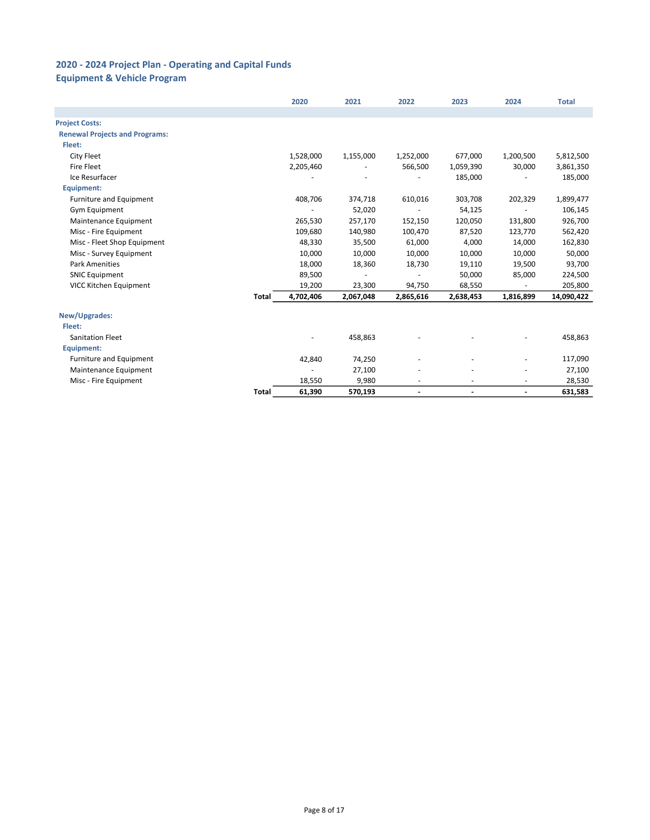## Equipment & Vehicle Program

|                                       |              | 2020      | 2021      | 2022                     | 2023           | 2024                     | <b>Total</b> |
|---------------------------------------|--------------|-----------|-----------|--------------------------|----------------|--------------------------|--------------|
|                                       |              |           |           |                          |                |                          |              |
| <b>Project Costs:</b>                 |              |           |           |                          |                |                          |              |
| <b>Renewal Projects and Programs:</b> |              |           |           |                          |                |                          |              |
| Fleet:                                |              |           |           |                          |                |                          |              |
| City Fleet                            |              | 1,528,000 | 1,155,000 | 1,252,000                | 677,000        | 1,200,500                | 5,812,500    |
| <b>Fire Fleet</b>                     |              | 2,205,460 |           | 566,500                  | 1,059,390      | 30,000                   | 3,861,350    |
| Ice Resurfacer                        |              |           |           |                          | 185,000        |                          | 185,000      |
| Equipment:                            |              |           |           |                          |                |                          |              |
| Furniture and Equipment               |              | 408,706   | 374,718   | 610,016                  | 303,708        | 202,329                  | 1,899,477    |
| <b>Gym Equipment</b>                  |              |           | 52,020    |                          | 54,125         |                          | 106,145      |
| Maintenance Equipment                 |              | 265,530   | 257,170   | 152,150                  | 120,050        | 131,800                  | 926,700      |
| Misc - Fire Equipment                 |              | 109,680   | 140,980   | 100,470                  | 87,520         | 123,770                  | 562,420      |
| Misc - Fleet Shop Equipment           |              | 48,330    | 35,500    | 61,000                   | 4,000          | 14,000                   | 162,830      |
| Misc - Survey Equipment               |              | 10,000    | 10,000    | 10,000                   | 10,000         | 10,000                   | 50,000       |
| <b>Park Amenities</b>                 |              | 18,000    | 18,360    | 18,730                   | 19,110         | 19,500                   | 93,700       |
| <b>SNIC Equipment</b>                 |              | 89,500    |           |                          | 50,000         | 85,000                   | 224,500      |
| VICC Kitchen Equipment                |              | 19,200    | 23,300    | 94,750                   | 68,550         |                          | 205,800      |
|                                       | <b>Total</b> | 4,702,406 | 2,067,048 | 2,865,616                | 2,638,453      | 1,816,899                | 14,090,422   |
| New/Upgrades:                         |              |           |           |                          |                |                          |              |
| Fleet:                                |              |           |           |                          |                |                          |              |
| <b>Sanitation Fleet</b>               |              |           | 458,863   |                          |                |                          | 458,863      |
| Equipment:                            |              |           |           |                          |                |                          |              |
| Furniture and Equipment               |              | 42,840    | 74,250    |                          |                |                          | 117,090      |
| Maintenance Equipment                 |              |           | 27,100    |                          |                |                          | 27,100       |
| Misc - Fire Equipment                 |              | 18,550    | 9,980     |                          |                |                          | 28,530       |
|                                       | Total        | 61,390    | 570,193   | $\overline{\phantom{a}}$ | $\blacksquare$ | $\overline{\phantom{a}}$ | 631,583      |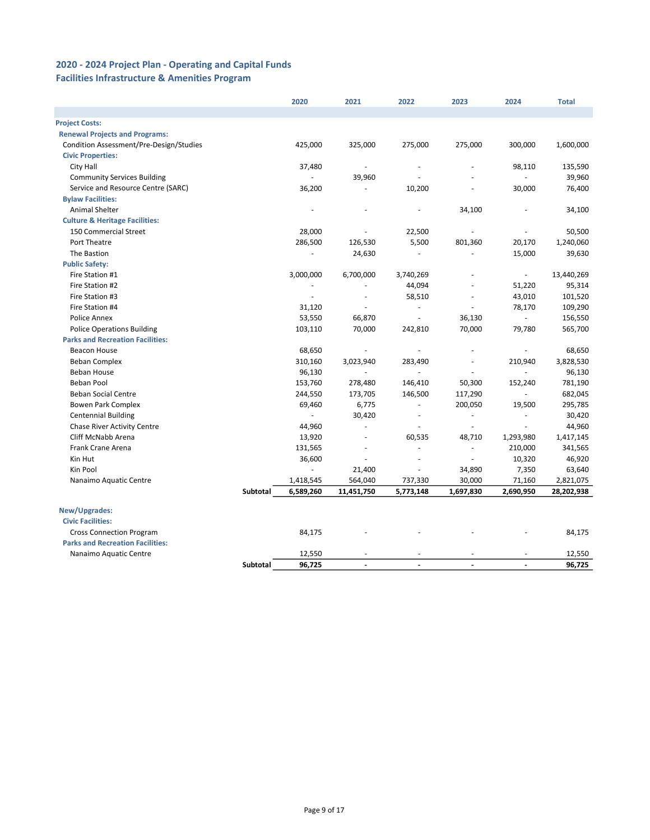### Facilities Infrastructure & Amenities Program

|                                           |          | 2020      | 2021                     | 2022                     | 2023                     | 2024                     | <b>Total</b> |
|-------------------------------------------|----------|-----------|--------------------------|--------------------------|--------------------------|--------------------------|--------------|
|                                           |          |           |                          |                          |                          |                          |              |
| <b>Project Costs:</b>                     |          |           |                          |                          |                          |                          |              |
| <b>Renewal Projects and Programs:</b>     |          |           |                          |                          |                          |                          |              |
| Condition Assessment/Pre-Design/Studies   |          | 425,000   | 325,000                  | 275,000                  | 275,000                  | 300,000                  | 1,600,000    |
| <b>Civic Properties:</b>                  |          |           |                          |                          |                          |                          |              |
| City Hall                                 |          | 37,480    |                          | $\sim$                   |                          | 98,110                   | 135,590      |
| <b>Community Services Building</b>        |          | ¥.        | 39,960                   |                          |                          | L.                       | 39,960       |
| Service and Resource Centre (SARC)        |          | 36,200    | $\sim$                   | 10,200                   |                          | 30,000                   | 76,400       |
| <b>Bylaw Facilities:</b>                  |          |           |                          |                          |                          |                          |              |
| <b>Animal Shelter</b>                     |          |           |                          |                          | 34,100                   |                          | 34,100       |
| <b>Culture &amp; Heritage Facilities:</b> |          |           |                          |                          |                          |                          |              |
| 150 Commercial Street                     |          | 28,000    | ÷,                       | 22,500                   |                          |                          | 50,500       |
| Port Theatre                              |          | 286,500   | 126,530                  | 5,500                    | 801,360                  | 20,170                   | 1,240,060    |
| The Bastion                               |          |           | 24,630                   | $\bar{a}$                |                          | 15,000                   | 39,630       |
| <b>Public Safety:</b>                     |          |           |                          |                          |                          |                          |              |
| Fire Station #1                           |          | 3,000,000 | 6,700,000                | 3,740,269                |                          | $\overline{\phantom{a}}$ | 13,440,269   |
| Fire Station #2                           |          |           | $\overline{\phantom{a}}$ | 44,094                   |                          | 51,220                   | 95,314       |
| Fire Station #3                           |          | ÷.        | ÷.                       | 58,510                   | ÷.                       | 43,010                   | 101,520      |
| Fire Station #4                           |          | 31,120    | ÷.                       | $\blacksquare$           |                          | 78,170                   | 109,290      |
| Police Annex                              |          | 53,550    | 66,870                   | ä,                       | 36,130                   |                          | 156,550      |
| <b>Police Operations Building</b>         |          | 103,110   | 70,000                   | 242,810                  | 70,000                   | 79,780                   | 565,700      |
| <b>Parks and Recreation Facilities:</b>   |          |           |                          |                          |                          |                          |              |
| Beacon House                              |          | 68,650    | $\overline{\phantom{a}}$ |                          |                          |                          | 68,650       |
| <b>Beban Complex</b>                      |          | 310,160   | 3,023,940                | 283,490                  | ä,                       | 210,940                  | 3,828,530    |
| <b>Beban House</b>                        |          | 96,130    | ÷,                       | ä,                       |                          |                          | 96,130       |
| <b>Beban Pool</b>                         |          | 153,760   | 278,480                  | 146,410                  | 50,300                   | 152,240                  | 781,190      |
| <b>Beban Social Centre</b>                |          | 244,550   | 173,705                  | 146,500                  | 117,290                  |                          | 682,045      |
| <b>Bowen Park Complex</b>                 |          | 69,460    | 6,775                    | $\omega$                 | 200,050                  | 19,500                   | 295,785      |
| <b>Centennial Building</b>                |          | $\omega$  | 30,420                   | $\overline{\phantom{a}}$ | ÷.                       | ÷,                       | 30,420       |
| <b>Chase River Activity Centre</b>        |          | 44,960    | $\bar{a}$                | $\sim$                   | ä,                       |                          | 44,960       |
| Cliff McNabb Arena                        |          | 13,920    | ÷.                       | 60,535                   | 48,710                   | 1,293,980                | 1,417,145    |
| Frank Crane Arena                         |          | 131,565   | ÷,                       | $\bar{a}$                | $\overline{\phantom{a}}$ | 210,000                  | 341,565      |
| Kin Hut                                   |          | 36,600    | ÷,                       | $\overline{\phantom{a}}$ | ÷,                       | 10,320                   | 46,920       |
| Kin Pool                                  |          | ÷.        | 21,400                   | $\sim$                   | 34,890                   | 7,350                    | 63,640       |
| Nanaimo Aquatic Centre                    |          | 1,418,545 | 564,040                  | 737,330                  | 30,000                   | 71,160                   | 2,821,075    |
|                                           | Subtotal | 6,589,260 | 11,451,750               | 5,773,148                | 1,697,830                | 2,690,950                | 28,202,938   |
| New/Upgrades:                             |          |           |                          |                          |                          |                          |              |
| <b>Civic Facilities:</b>                  |          |           |                          |                          |                          |                          |              |
| <b>Cross Connection Program</b>           |          | 84,175    |                          |                          |                          |                          | 84,175       |
| <b>Parks and Recreation Facilities:</b>   |          |           |                          |                          |                          |                          |              |
| Nanaimo Aquatic Centre                    |          | 12,550    | $\overline{\phantom{a}}$ |                          |                          |                          | 12,550       |
|                                           | Subtotal | 96,725    | $\overline{\phantom{a}}$ | $\overline{\phantom{a}}$ | $\overline{\phantom{a}}$ | $\overline{\phantom{a}}$ | 96,725       |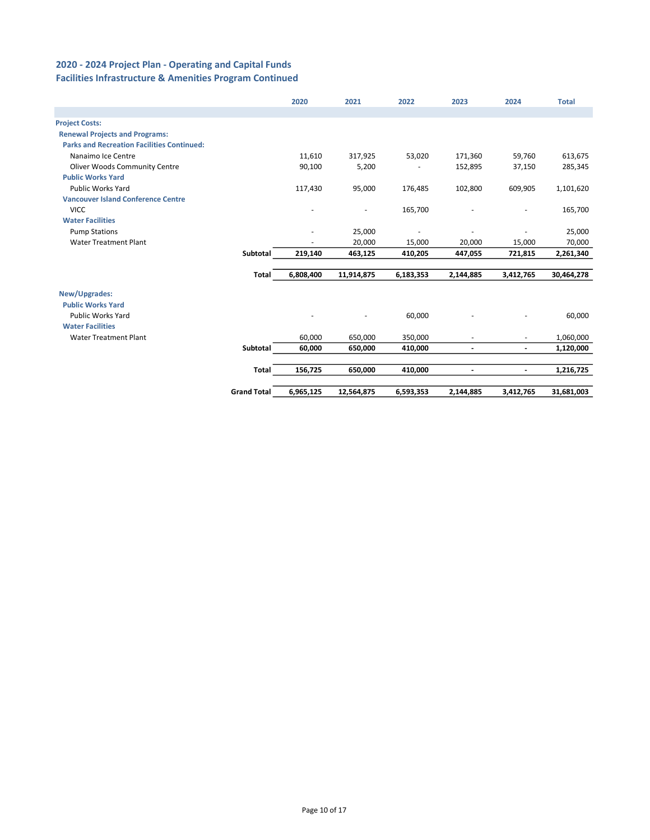### 2020 - 2024 Project Plan - Operating and Capital Funds Facilities Infrastructure & Amenities Program Continued

|                                                   |                    | 2020      | 2021                     | 2022      | 2023                     | 2024                     | <b>Total</b> |
|---------------------------------------------------|--------------------|-----------|--------------------------|-----------|--------------------------|--------------------------|--------------|
|                                                   |                    |           |                          |           |                          |                          |              |
| <b>Project Costs:</b>                             |                    |           |                          |           |                          |                          |              |
| <b>Renewal Projects and Programs:</b>             |                    |           |                          |           |                          |                          |              |
| <b>Parks and Recreation Facilities Continued:</b> |                    |           |                          |           |                          |                          |              |
| Nanaimo Ice Centre                                |                    | 11,610    | 317,925                  | 53,020    | 171,360                  | 59,760                   | 613,675      |
| <b>Oliver Woods Community Centre</b>              |                    | 90,100    | 5,200                    |           | 152,895                  | 37,150                   | 285,345      |
| <b>Public Works Yard</b>                          |                    |           |                          |           |                          |                          |              |
| <b>Public Works Yard</b>                          |                    | 117,430   | 95,000                   | 176,485   | 102,800                  | 609,905                  | 1,101,620    |
| <b>Vancouver Island Conference Centre</b>         |                    |           |                          |           |                          |                          |              |
| <b>VICC</b>                                       |                    |           | $\overline{\phantom{m}}$ | 165,700   |                          | $\sim$                   | 165,700      |
| <b>Water Facilities</b>                           |                    |           |                          |           |                          |                          |              |
| <b>Pump Stations</b>                              |                    |           | 25,000                   |           |                          |                          | 25,000       |
| <b>Water Treatment Plant</b>                      |                    |           | 20,000                   | 15,000    | 20,000                   | 15,000                   | 70,000       |
|                                                   | Subtotal           | 219,140   | 463,125                  | 410,205   | 447,055                  | 721,815                  | 2,261,340    |
|                                                   |                    |           |                          |           |                          |                          |              |
|                                                   | <b>Total</b>       | 6,808,400 | 11,914,875               | 6,183,353 | 2,144,885                | 3,412,765                | 30,464,278   |
| New/Upgrades:                                     |                    |           |                          |           |                          |                          |              |
| <b>Public Works Yard</b>                          |                    |           |                          |           |                          |                          |              |
| <b>Public Works Yard</b>                          |                    |           |                          | 60,000    |                          |                          | 60,000       |
| <b>Water Facilities</b>                           |                    |           |                          |           |                          |                          |              |
| <b>Water Treatment Plant</b>                      |                    | 60,000    | 650,000                  | 350,000   |                          | $\overline{\phantom{a}}$ | 1,060,000    |
|                                                   | Subtotal           | 60,000    | 650,000                  | 410,000   | $\blacksquare$           | $\overline{\phantom{a}}$ | 1,120,000    |
|                                                   |                    |           |                          |           |                          |                          |              |
|                                                   | Total              | 156,725   | 650,000                  | 410,000   | $\overline{\phantom{a}}$ | $\blacksquare$           | 1,216,725    |
|                                                   | <b>Grand Total</b> | 6,965,125 | 12,564,875               | 6,593,353 | 2,144,885                | 3,412,765                | 31,681,003   |
|                                                   |                    |           |                          |           |                          |                          |              |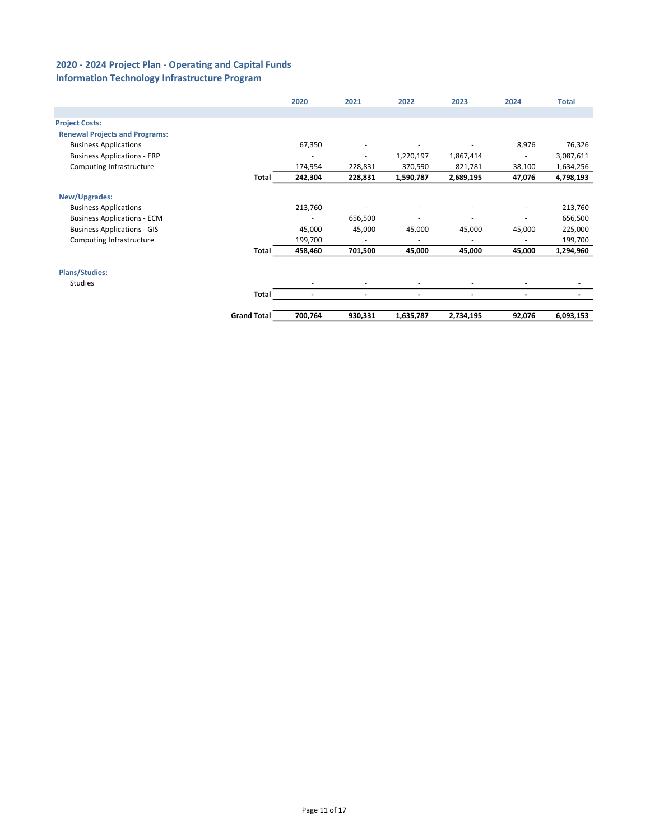# Information Technology Infrastructure Program

|                                       |                    | 2020                     | 2021    | 2022                     | 2023                     | 2024                     | <b>Total</b> |
|---------------------------------------|--------------------|--------------------------|---------|--------------------------|--------------------------|--------------------------|--------------|
|                                       |                    |                          |         |                          |                          |                          |              |
| <b>Project Costs:</b>                 |                    |                          |         |                          |                          |                          |              |
| <b>Renewal Projects and Programs:</b> |                    |                          |         |                          |                          |                          |              |
| <b>Business Applications</b>          |                    | 67,350                   |         |                          |                          | 8,976                    | 76,326       |
| <b>Business Applications - ERP</b>    |                    |                          |         | 1,220,197                | 1,867,414                |                          | 3,087,611    |
| Computing Infrastructure              |                    | 174,954                  | 228,831 | 370,590                  | 821,781                  | 38,100                   | 1,634,256    |
|                                       | Total              | 242,304                  | 228,831 | 1,590,787                | 2,689,195                | 47,076                   | 4,798,193    |
| New/Upgrades:                         |                    |                          |         |                          |                          |                          |              |
| <b>Business Applications</b>          |                    | 213,760                  |         | ٠                        |                          | ٠                        | 213,760      |
| <b>Business Applications - ECM</b>    |                    | ٠                        | 656,500 | ٠                        | $\overline{\phantom{a}}$ | ٠                        | 656,500      |
| <b>Business Applications - GIS</b>    |                    | 45,000                   | 45,000  | 45,000                   | 45,000                   | 45,000                   | 225,000      |
| Computing Infrastructure              |                    | 199,700                  | ٠       | ٠                        | $\overline{\phantom{a}}$ |                          | 199,700      |
|                                       | Total              | 458,460                  | 701,500 | 45,000                   | 45,000                   | 45,000                   | 1,294,960    |
| <b>Plans/Studies:</b>                 |                    |                          |         |                          |                          |                          |              |
| Studies                               |                    |                          |         | ٠                        |                          |                          |              |
|                                       | Total              | $\overline{\phantom{a}}$ |         | $\overline{\phantom{a}}$ |                          | $\overline{\phantom{a}}$ |              |
|                                       | <b>Grand Total</b> | 700,764                  | 930,331 | 1,635,787                | 2,734,195                | 92,076                   | 6,093,153    |
|                                       |                    |                          |         |                          |                          |                          |              |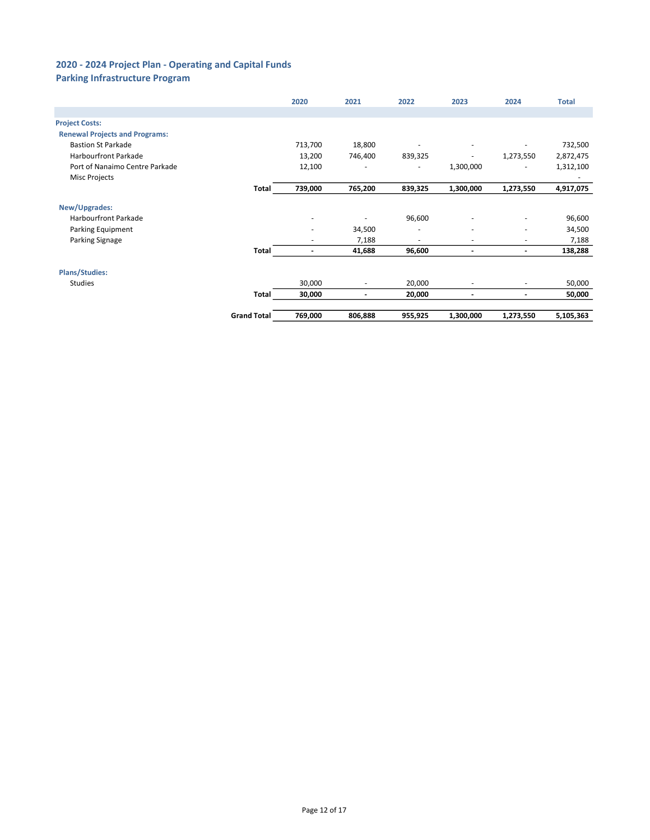# Parking Infrastructure Program

|                                       |                    | 2020                     | 2021                         | 2022    | 2023                     | 2024                     | <b>Total</b> |
|---------------------------------------|--------------------|--------------------------|------------------------------|---------|--------------------------|--------------------------|--------------|
|                                       |                    |                          |                              |         |                          |                          |              |
| <b>Project Costs:</b>                 |                    |                          |                              |         |                          |                          |              |
| <b>Renewal Projects and Programs:</b> |                    |                          |                              |         |                          |                          |              |
| <b>Bastion St Parkade</b>             |                    | 713,700                  | 18,800                       |         |                          |                          | 732,500      |
| <b>Harbourfront Parkade</b>           |                    | 13,200                   | 746,400                      | 839,325 | ٠                        | 1,273,550                | 2,872,475    |
| Port of Nanaimo Centre Parkade        |                    | 12,100                   | ٠                            | ٠       | 1,300,000                |                          | 1,312,100    |
| <b>Misc Projects</b>                  |                    |                          |                              |         |                          |                          |              |
|                                       | Total              | 739,000                  | 765,200                      | 839,325 | 1,300,000                | 1,273,550                | 4,917,075    |
| New/Upgrades:                         |                    |                          |                              |         |                          |                          |              |
| <b>Harbourfront Parkade</b>           |                    | $\overline{\phantom{a}}$ | ٠                            | 96,600  | $\overline{\phantom{a}}$ | ٠                        | 96,600       |
| Parking Equipment                     |                    | $\overline{\phantom{a}}$ | 34,500                       | $\sim$  | ٠                        | ٠                        | 34,500       |
| Parking Signage                       |                    |                          | 7,188                        | ٠       |                          | ٠                        | 7,188        |
|                                       | Total              | $\overline{\phantom{a}}$ | 41,688                       | 96,600  | $\overline{\phantom{a}}$ | $\overline{\phantom{a}}$ | 138,288      |
| <b>Plans/Studies:</b>                 |                    |                          |                              |         |                          |                          |              |
| <b>Studies</b>                        |                    | 30,000                   | ٠                            | 20,000  | ٠                        | ٠                        | 50,000       |
|                                       | Total              | 30,000                   | $\qquad \qquad \blacksquare$ | 20,000  | $\overline{\phantom{a}}$ | $\overline{\phantom{0}}$ | 50,000       |
|                                       | <b>Grand Total</b> | 769,000                  | 806,888                      | 955,925 | 1,300,000                | 1,273,550                | 5,105,363    |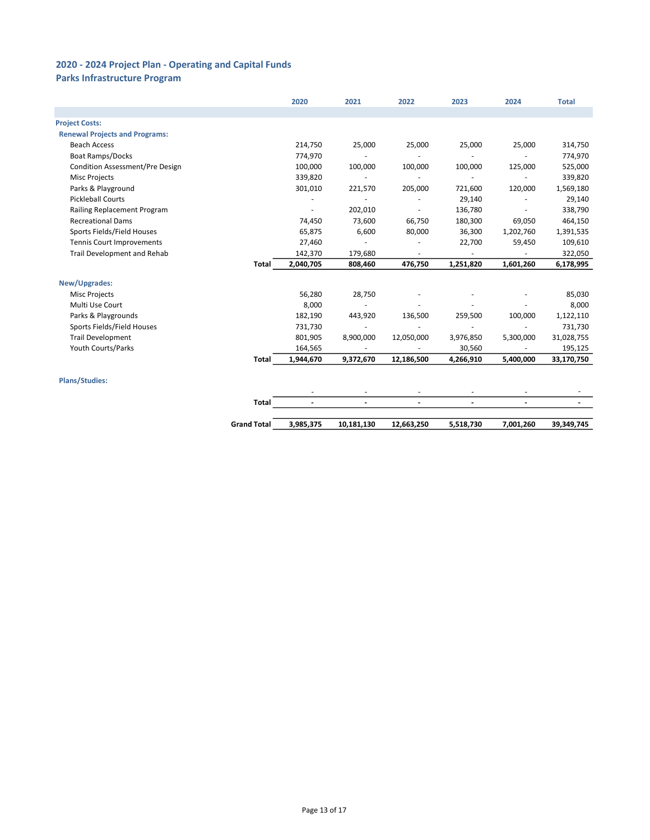# Parks Infrastructure Program

|                                       |                    | 2020           | 2021                     | 2022           | 2023                     | 2024           | <b>Total</b> |
|---------------------------------------|--------------------|----------------|--------------------------|----------------|--------------------------|----------------|--------------|
|                                       |                    |                |                          |                |                          |                |              |
| <b>Project Costs:</b>                 |                    |                |                          |                |                          |                |              |
| <b>Renewal Projects and Programs:</b> |                    |                |                          |                |                          |                |              |
| <b>Beach Access</b>                   |                    | 214,750        | 25,000                   | 25,000         | 25,000                   | 25,000         | 314,750      |
| <b>Boat Ramps/Docks</b>               |                    | 774,970        |                          |                |                          |                | 774,970      |
| Condition Assessment/Pre Design       |                    | 100,000        | 100,000                  | 100,000        | 100,000                  | 125,000        | 525,000      |
| <b>Misc Projects</b>                  |                    | 339,820        |                          |                |                          |                | 339,820      |
| Parks & Playground                    |                    | 301,010        | 221,570                  | 205,000        | 721,600                  | 120,000        | 1,569,180    |
| <b>Pickleball Courts</b>              |                    | $\overline{a}$ |                          |                | 29,140                   |                | 29,140       |
| Railing Replacement Program           |                    |                | 202,010                  |                | 136,780                  |                | 338,790      |
| <b>Recreational Dams</b>              |                    | 74,450         | 73,600                   | 66,750         | 180,300                  | 69,050         | 464,150      |
| Sports Fields/Field Houses            |                    | 65,875         | 6,600                    | 80,000         | 36,300                   | 1,202,760      | 1,391,535    |
| Tennis Court Improvements             |                    | 27,460         | $\sim$                   |                | 22,700                   | 59,450         | 109,610      |
| Trail Development and Rehab           |                    | 142,370        | 179,680                  |                | $\overline{\phantom{a}}$ |                | 322,050      |
|                                       | <b>Total</b>       | 2,040,705      | 808,460                  | 476,750        | 1,251,820                | 1,601,260      | 6,178,995    |
| New/Upgrades:                         |                    |                |                          |                |                          |                |              |
| <b>Misc Projects</b>                  |                    | 56,280         | 28,750                   |                |                          |                | 85,030       |
| Multi Use Court                       |                    | 8,000          | $\sim$                   |                |                          |                | 8,000        |
| Parks & Playgrounds                   |                    | 182,190        | 443,920                  | 136,500        | 259,500                  | 100,000        | 1,122,110    |
| Sports Fields/Field Houses            |                    | 731,730        |                          |                |                          |                | 731,730      |
| <b>Trail Development</b>              |                    | 801,905        | 8,900,000                | 12,050,000     | 3,976,850                | 5,300,000      | 31,028,755   |
| Youth Courts/Parks                    |                    | 164,565        |                          |                | 30,560                   |                | 195,125      |
|                                       | Total              | 1,944,670      | 9,372,670                | 12,186,500     | 4,266,910                | 5,400,000      | 33,170,750   |
| <b>Plans/Studies:</b>                 |                    |                |                          |                |                          |                |              |
|                                       |                    | ٠              | $\overline{\phantom{a}}$ | $\sim$         | $\overline{a}$           | $\sim$         |              |
|                                       | <b>Total</b>       | $\blacksquare$ | $\blacksquare$           | $\overline{a}$ | $\blacksquare$           | $\blacksquare$ |              |
|                                       | <b>Grand Total</b> | 3,985,375      | 10,181,130               | 12,663,250     | 5,518,730                | 7,001,260      | 39,349,745   |
|                                       |                    |                |                          |                |                          |                |              |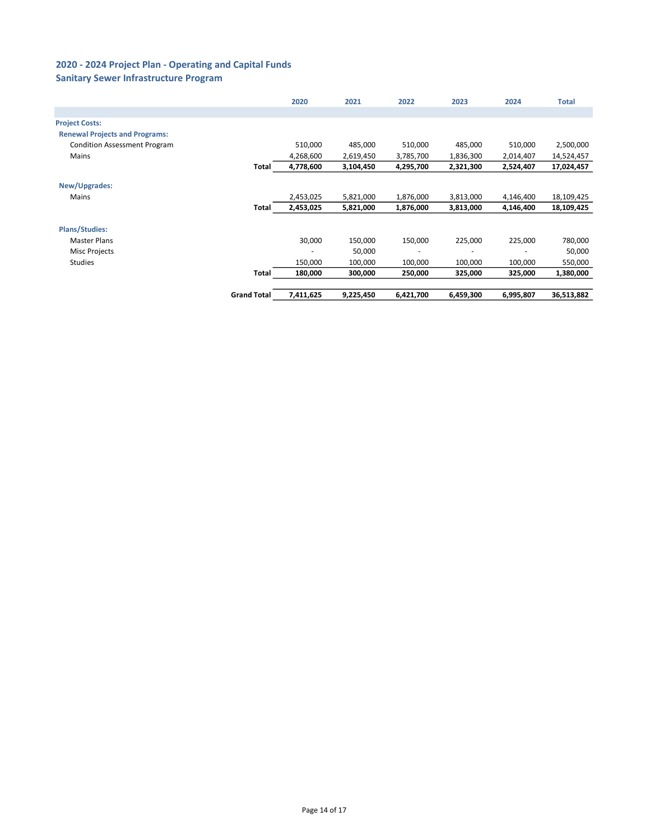### Sanitary Sewer Infrastructure Program

|                                       |                    | 2020      | 2021      | 2022      | 2023      | 2024      | <b>Total</b> |
|---------------------------------------|--------------------|-----------|-----------|-----------|-----------|-----------|--------------|
|                                       |                    |           |           |           |           |           |              |
| <b>Project Costs:</b>                 |                    |           |           |           |           |           |              |
| <b>Renewal Projects and Programs:</b> |                    |           |           |           |           |           |              |
| <b>Condition Assessment Program</b>   |                    | 510,000   | 485,000   | 510,000   | 485,000   | 510,000   | 2,500,000    |
| Mains                                 |                    | 4,268,600 | 2,619,450 | 3,785,700 | 1,836,300 | 2,014,407 | 14,524,457   |
|                                       | Total              | 4,778,600 | 3,104,450 | 4,295,700 | 2,321,300 | 2,524,407 | 17,024,457   |
| New/Upgrades:                         |                    |           |           |           |           |           |              |
| Mains                                 |                    | 2,453,025 | 5,821,000 | 1,876,000 | 3,813,000 | 4,146,400 | 18,109,425   |
|                                       | Total              | 2,453,025 | 5,821,000 | 1,876,000 | 3,813,000 | 4,146,400 | 18,109,425   |
| <b>Plans/Studies:</b>                 |                    |           |           |           |           |           |              |
| <b>Master Plans</b>                   |                    | 30,000    | 150,000   | 150,000   | 225,000   | 225,000   | 780,000      |
| Misc Projects                         |                    |           | 50,000    | ٠         |           |           | 50,000       |
| <b>Studies</b>                        |                    | 150,000   | 100,000   | 100,000   | 100,000   | 100,000   | 550,000      |
|                                       | Total              | 180,000   | 300,000   | 250,000   | 325,000   | 325,000   | 1,380,000    |
|                                       |                    |           |           |           |           |           |              |
|                                       | <b>Grand Total</b> | 7,411,625 | 9,225,450 | 6,421,700 | 6,459,300 | 6,995,807 | 36,513,882   |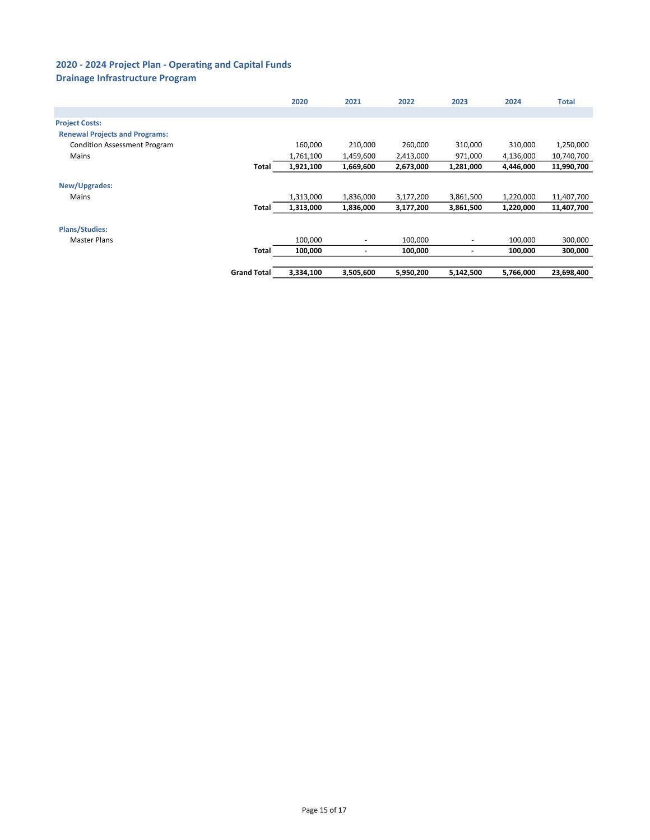# Drainage Infrastructure Program

|                                       |                    | 2020      | 2021                     | 2022      | 2023                     | 2024      | <b>Total</b> |
|---------------------------------------|--------------------|-----------|--------------------------|-----------|--------------------------|-----------|--------------|
|                                       |                    |           |                          |           |                          |           |              |
| <b>Project Costs:</b>                 |                    |           |                          |           |                          |           |              |
| <b>Renewal Projects and Programs:</b> |                    |           |                          |           |                          |           |              |
| <b>Condition Assessment Program</b>   |                    | 160,000   | 210,000                  | 260,000   | 310,000                  | 310,000   | 1,250,000    |
| Mains                                 |                    | 1,761,100 | 1,459,600                | 2,413,000 | 971,000                  | 4,136,000 | 10,740,700   |
|                                       | Total              | 1,921,100 | 1,669,600                | 2,673,000 | 1,281,000                | 4,446,000 | 11,990,700   |
| New/Upgrades:                         |                    |           |                          |           |                          |           |              |
| Mains                                 |                    | 1,313,000 | 1,836,000                | 3,177,200 | 3,861,500                | 1,220,000 | 11,407,700   |
|                                       | Total              | 1,313,000 | 1,836,000                | 3,177,200 | 3,861,500                | 1,220,000 | 11,407,700   |
| <b>Plans/Studies:</b>                 |                    |           |                          |           |                          |           |              |
| <b>Master Plans</b>                   |                    | 100,000   | ٠                        | 100,000   | ٠                        | 100,000   | 300,000      |
|                                       | Total              | 100,000   | $\overline{\phantom{a}}$ | 100,000   | $\overline{\phantom{a}}$ | 100,000   | 300,000      |
|                                       | <b>Grand Total</b> | 3,334,100 | 3,505,600                | 5,950,200 | 5,142,500                | 5,766,000 | 23,698,400   |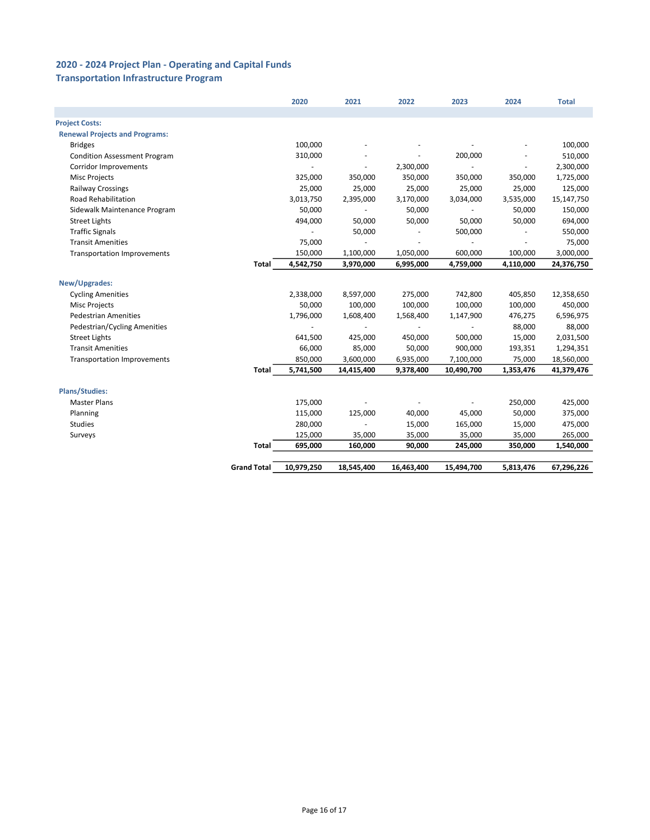### Transportation Infrastructure Program

|                                       |                    | 2020                 | 2021                     | 2022                   | 2023                     | 2024                | <b>Total</b>             |
|---------------------------------------|--------------------|----------------------|--------------------------|------------------------|--------------------------|---------------------|--------------------------|
|                                       |                    |                      |                          |                        |                          |                     |                          |
| <b>Project Costs:</b>                 |                    |                      |                          |                        |                          |                     |                          |
| <b>Renewal Projects and Programs:</b> |                    |                      |                          |                        |                          |                     |                          |
| <b>Bridges</b>                        |                    | 100,000              |                          |                        |                          |                     | 100,000                  |
| <b>Condition Assessment Program</b>   |                    | 310,000              |                          |                        | 200,000                  |                     | 510,000                  |
| Corridor Improvements                 |                    |                      | $\overline{\phantom{m}}$ | 2,300,000              |                          |                     | 2,300,000                |
| Misc Projects                         |                    | 325,000              | 350,000                  | 350,000                | 350,000                  | 350,000             | 1,725,000                |
| <b>Railway Crossings</b>              |                    | 25,000               | 25,000                   | 25,000                 | 25,000                   | 25,000              | 125,000                  |
| <b>Road Rehabilitation</b>            |                    | 3,013,750            | 2,395,000                | 3,170,000              | 3,034,000                | 3,535,000           | 15,147,750               |
| Sidewalk Maintenance Program          |                    | 50,000               | $\overline{\phantom{a}}$ | 50,000                 | $\overline{\phantom{a}}$ | 50,000              | 150,000                  |
| <b>Street Lights</b>                  |                    | 494,000              | 50,000                   | 50,000                 | 50,000                   | 50,000              | 694,000                  |
| <b>Traffic Signals</b>                |                    |                      | 50,000                   |                        | 500,000                  |                     | 550,000                  |
| <b>Transit Amenities</b>              |                    | 75,000               |                          |                        |                          |                     | 75,000                   |
| <b>Transportation Improvements</b>    |                    | 150,000              | 1,100,000                | 1,050,000              | 600,000                  | 100,000             | 3,000,000                |
|                                       | Total              | 4,542,750            | 3,970,000                | 6,995,000              | 4,759,000                | 4,110,000           | 24,376,750               |
| New/Upgrades:                         |                    |                      |                          |                        |                          |                     |                          |
|                                       |                    |                      |                          |                        | 742,800                  | 405,850             |                          |
| <b>Cycling Amenities</b>              |                    | 2,338,000            | 8,597,000<br>100,000     | 275,000<br>100,000     | 100,000                  |                     | 12,358,650               |
| <b>Misc Projects</b>                  |                    | 50,000               |                          |                        |                          | 100,000             | 450,000                  |
| <b>Pedestrian Amenities</b>           |                    | 1,796,000            | 1,608,400                | 1,568,400              | 1,147,900                | 476,275             | 6,596,975                |
| Pedestrian/Cycling Amenities          |                    | ۰                    | $\overline{\phantom{a}}$ | $\sim$                 | $\overline{\phantom{a}}$ | 88,000              | 88,000                   |
| <b>Street Lights</b>                  |                    | 641,500              | 425,000                  | 450,000                | 500,000                  | 15,000              | 2,031,500                |
| <b>Transit Amenities</b>              |                    | 66,000               | 85,000                   | 50,000                 | 900,000                  | 193,351             | 1,294,351                |
| <b>Transportation Improvements</b>    | Total              | 850,000<br>5,741,500 | 3,600,000<br>14,415,400  | 6,935,000<br>9,378,400 | 7,100,000<br>10,490,700  | 75,000<br>1,353,476 | 18,560,000<br>41,379,476 |
|                                       |                    |                      |                          |                        |                          |                     |                          |
| <b>Plans/Studies:</b>                 |                    |                      |                          |                        |                          |                     |                          |
| <b>Master Plans</b>                   |                    | 175,000              |                          |                        |                          | 250,000             | 425,000                  |
| Planning                              |                    | 115,000              | 125,000                  | 40,000                 | 45,000                   | 50,000              | 375,000                  |
| <b>Studies</b>                        |                    | 280,000              |                          | 15,000                 | 165,000                  | 15,000              | 475,000                  |
| Surveys                               |                    | 125,000              | 35,000                   | 35,000                 | 35,000                   | 35,000              | 265,000                  |
|                                       | Total              | 695,000              | 160,000                  | 90,000                 | 245,000                  | 350,000             | 1,540,000                |
|                                       |                    |                      |                          |                        |                          |                     |                          |
|                                       | <b>Grand Total</b> | 10,979,250           | 18,545,400               | 16,463,400             | 15,494,700               | 5,813,476           | 67,296,226               |